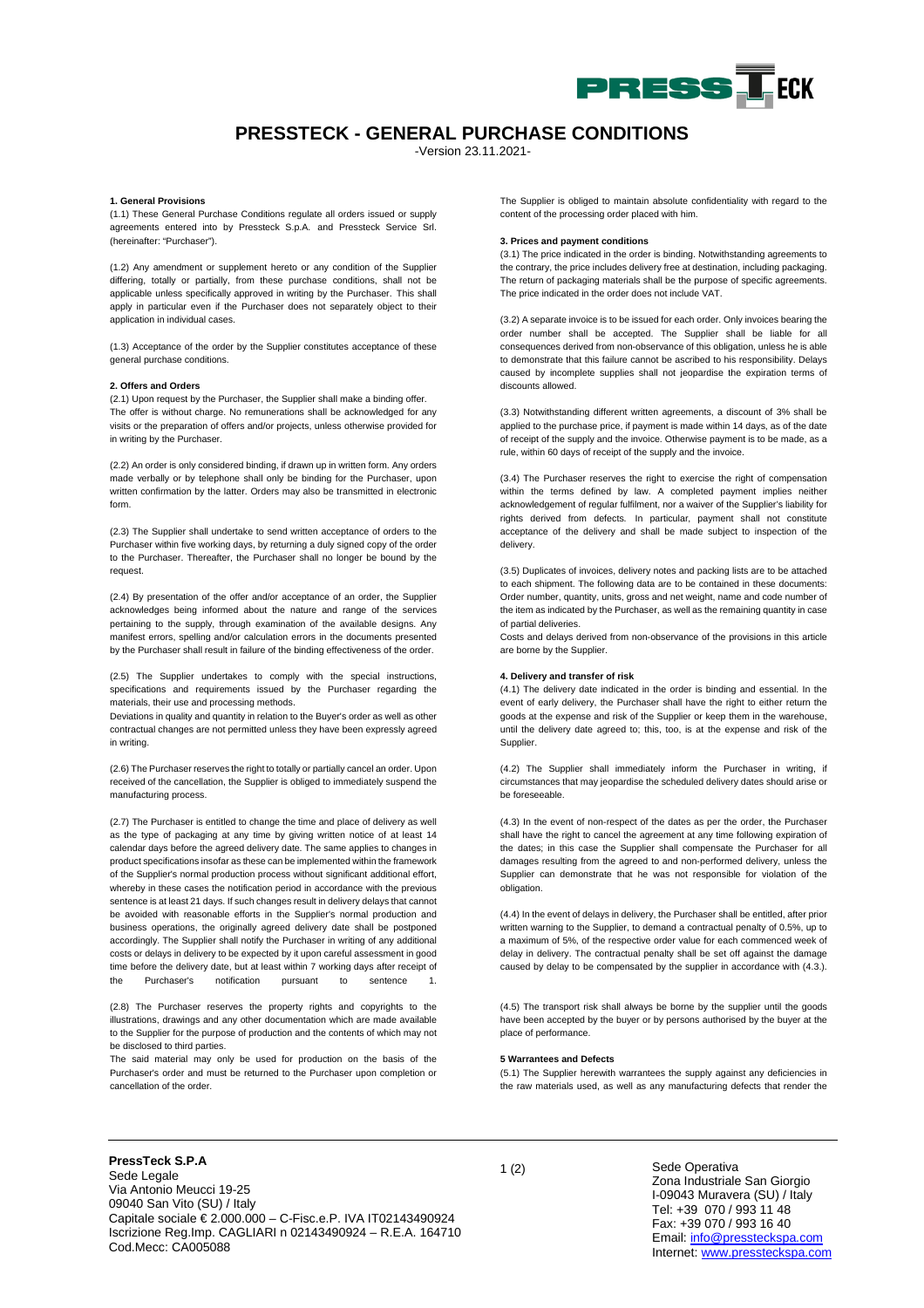

## **PRESSTECK - GENERAL PURCHASE CONDITIONS**

-Version 23.11.2021-

## **1. General Provisions**

(1.1) These General Purchase Conditions regulate all orders issued or supply agreements entered into by Pressteck S.p.A. and Pressteck Service Srl. (hereinafter: "Purchaser").

(1.2) Any amendment or supplement hereto or any condition of the Supplier differing, totally or partially, from these purchase conditions, shall not be applicable unless specifically approved in writing by the Purchaser. This shall apply in particular even if the Purchaser does not separately object to their application in individual cases.

(1.3) Acceptance of the order by the Supplier constitutes acceptance of these general purchase conditions.

## **2. Offers and Orders**

(2.1) Upon request by the Purchaser, the Supplier shall make a binding offer. The offer is without charge. No remunerations shall be acknowledged for any visits or the preparation of offers and/or projects, unless otherwise provided for in writing by the Purchaser.

(2.2) An order is only considered binding, if drawn up in written form. Any orders made verbally or by telephone shall only be binding for the Purchaser, upon written confirmation by the latter. Orders may also be transmitted in electronic form.

(2.3) The Supplier shall undertake to send written acceptance of orders to the Purchaser within five working days, by returning a duly signed copy of the order to the Purchaser. Thereafter, the Purchaser shall no longer be bound by the request.

(2.4) By presentation of the offer and/or acceptance of an order, the Supplier acknowledges being informed about the nature and range of the services pertaining to the supply, through examination of the available designs. Any manifest errors, spelling and/or calculation errors in the documents presented by the Purchaser shall result in failure of the binding effectiveness of the order.

(2.5) The Supplier undertakes to comply with the special instructions, specifications and requirements issued by the Purchaser regarding the materials, their use and processing methods.

Deviations in quality and quantity in relation to the Buyer's order as well as other contractual changes are not permitted unless they have been expressly agreed in writing.

(2.6) The Purchaser reserves the right to totally or partially cancel an order. Upon received of the cancellation, the Supplier is obliged to immediately suspend the manufacturing process.

(2.7) The Purchaser is entitled to change the time and place of delivery as well as the type of packaging at any time by giving written notice of at least 14 calendar days before the agreed delivery date. The same applies to changes in product specifications insofar as these can be implemented within the framework of the Supplier's normal production process without significant additional effort, whereby in these cases the notification period in accordance with the previous sentence is at least 21 days. If such changes result in delivery delays that cannot be avoided with reasonable efforts in the Supplier's normal production and business operations, the originally agreed delivery date shall be postponed accordingly. The Supplier shall notify the Purchaser in writing of any additional costs or delays in delivery to be expected by it upon careful assessment in good time before the delivery date, but at least within 7 working days after receipt of the Purchaser's notification pursuant to sentence

(2.8) The Purchaser reserves the property rights and copyrights to the illustrations, drawings and any other documentation which are made available to the Supplier for the purpose of production and the contents of which may not be disclosed to third parties.

The said material may only be used for production on the basis of the Purchaser's order and must be returned to the Purchaser upon completion or cancellation of the order.

The Supplier is obliged to maintain absolute confidentiality with regard to the content of the processing order placed with him.

## **3. Prices and payment conditions**

(3.1) The price indicated in the order is binding. Notwithstanding agreements to the contrary, the price includes delivery free at destination, including packaging. The return of packaging materials shall be the purpose of specific agreements. The price indicated in the order does not include VAT.

(3.2) A separate invoice is to be issued for each order. Only invoices bearing the order number shall be accepted. The Supplier shall be liable for all consequences derived from non-observance of this obligation, unless he is able to demonstrate that this failure cannot be ascribed to his responsibility. Delays caused by incomplete supplies shall not jeopardise the expiration terms of discounts allowed.

(3.3) Notwithstanding different written agreements, a discount of 3% shall be applied to the purchase price, if payment is made within 14 days, as of the date of receipt of the supply and the invoice. Otherwise payment is to be made, as a rule, within 60 days of receipt of the supply and the invoice.

(3.4) The Purchaser reserves the right to exercise the right of compensation within the terms defined by law. A completed payment implies neither acknowledgement of regular fulfilment, nor a waiver of the Supplier's liability for rights derived from defects. In particular, payment shall not constitute acceptance of the delivery and shall be made subject to inspection of the delivery.

(3.5) Duplicates of invoices, delivery notes and packing lists are to be attached to each shipment. The following data are to be contained in these documents: Order number, quantity, units, gross and net weight, name and code number of the item as indicated by the Purchaser, as well as the remaining quantity in case of partial deliveries.

Costs and delays derived from non-observance of the provisions in this article are borne by the Supplier.

## **4. Delivery and transfer of risk**

(4.1) The delivery date indicated in the order is binding and essential. In the event of early delivery, the Purchaser shall have the right to either return the goods at the expense and risk of the Supplier or keep them in the warehouse, until the delivery date agreed to; this, too, is at the expense and risk of the Supplier.

(4.2) The Supplier shall immediately inform the Purchaser in writing, if circumstances that may jeopardise the scheduled delivery dates should arise or be foreseeable.

(4.3) In the event of non-respect of the dates as per the order, the Purchaser shall have the right to cancel the agreement at any time following expiration of the dates; in this case the Supplier shall compensate the Purchaser for all damages resulting from the agreed to and non-performed delivery, unless the Supplier can demonstrate that he was not responsible for violation of the obligation.

(4.4) In the event of delays in delivery, the Purchaser shall be entitled, after prior written warning to the Supplier, to demand a contractual penalty of 0.5%, up to a maximum of 5%, of the respective order value for each commenced week of delay in delivery. The contractual penalty shall be set off against the damage caused by delay to be compensated by the supplier in accordance with (4.3.).

(4.5) The transport risk shall always be borne by the supplier until the goods have been accepted by the buyer or by persons authorised by the buyer at the place of performance.

## **5 Warrantees and Defects**

(5.1) The Supplier herewith warrantees the supply against any deficiencies in the raw materials used, as well as any manufacturing defects that render the

<sup>1</sup> (2) **PressTeck S.P.A** Sede Legale Via Antonio Meucci 19-25 09040 San Vito (SU) / Italy Capitale sociale  $\epsilon$  2.000.000 – C-Fisc.e.P. IVA IT02143490924 Iscrizione Reg.Imp. CAGLIARI n 02143490924 – R.E.A. 164710 Cod.Mecc: CA005088

Sede Operativa Zona Industriale San Giorgio I-09043 Muravera (SU) / Italy Tel: +39 070 / 993 11 48 Fax: +39 070 / 993 16 40 Email[: info@pressteckspa.com](mailto:info@pressteckspa.com) Internet[: www.pressteckspa.com](http://www.pressteckspa.com/)